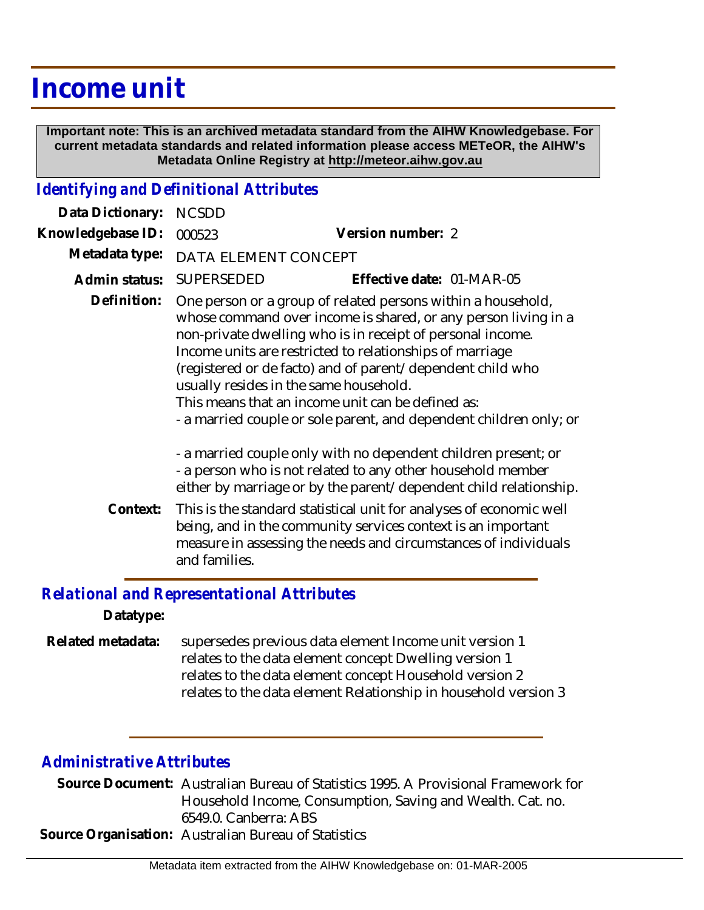## **Income unit**

 **Important note: This is an archived metadata standard from the AIHW Knowledgebase. For current metadata standards and related information please access METeOR, the AIHW's Metadata Online Registry at http://meteor.aihw.gov.au**

## *Identifying and Definitional Attributes*

| Data Dictionary:  | <b>NCSDD</b>                                                                                                                                                                                                                                                                                                                                                                                                                  |                                                                                                                                                                                                                                                                                                                                                                                                                                                                                             |  |
|-------------------|-------------------------------------------------------------------------------------------------------------------------------------------------------------------------------------------------------------------------------------------------------------------------------------------------------------------------------------------------------------------------------------------------------------------------------|---------------------------------------------------------------------------------------------------------------------------------------------------------------------------------------------------------------------------------------------------------------------------------------------------------------------------------------------------------------------------------------------------------------------------------------------------------------------------------------------|--|
| Knowledgebase ID: | 000523                                                                                                                                                                                                                                                                                                                                                                                                                        | Version number: 2                                                                                                                                                                                                                                                                                                                                                                                                                                                                           |  |
| Metadata type:    | DATA ELEMENT CONCEPT                                                                                                                                                                                                                                                                                                                                                                                                          |                                                                                                                                                                                                                                                                                                                                                                                                                                                                                             |  |
| Admin status:     | <b>SUPERSEDED</b>                                                                                                                                                                                                                                                                                                                                                                                                             | Effective date: 01-MAR-05                                                                                                                                                                                                                                                                                                                                                                                                                                                                   |  |
| Definition:       |                                                                                                                                                                                                                                                                                                                                                                                                                               | One person or a group of related persons within a household,<br>whose command over income is shared, or any person living in a<br>non-private dwelling who is in receipt of personal income.<br>Income units are restricted to relationships of marriage<br>(registered or de facto) and of parent/dependent child who<br>usually resides in the same household.<br>This means that an income unit can be defined as:<br>- a married couple or sole parent, and dependent children only; or |  |
| Context:          | - a married couple only with no dependent children present; or<br>- a person who is not related to any other household member<br>either by marriage or by the parent/dependent child relationship.<br>This is the standard statistical unit for analyses of economic well<br>being, and in the community services context is an important<br>measure in assessing the needs and circumstances of individuals<br>and families. |                                                                                                                                                                                                                                                                                                                                                                                                                                                                                             |  |

## *Relational and Representational Attributes*

**Datatype:**

supersedes previous data element Income unit version 1 relates to the data element concept Dwelling version 1 relates to the data element concept Household version 2 relates to the data element Relationship in household version 3 **Related metadata:**

## *Administrative Attributes*

Source Document: Australian Bureau of Statistics 1995. A Provisional Framework for Household Income, Consumption, Saving and Wealth. Cat. no. 6549.0. Canberra: ABS **Source Organisation:** Australian Bureau of Statistics